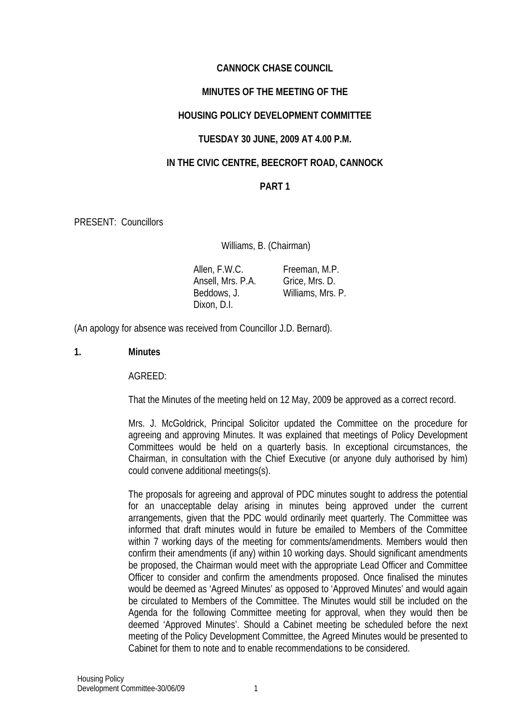# **CANNOCK CHASE COUNCIL**

## **MINUTES OF THE MEETING OF THE**

### **HOUSING POLICY DEVELOPMENT COMMITTEE**

### **TUESDAY 30 JUNE, 2009 AT 4.00 P.M.**

### **IN THE CIVIC CENTRE, BEECROFT ROAD, CANNOCK**

## **PART 1**

PRESENT: Councillors

Williams, B. (Chairman)

 Allen, F.W.C. Ansell, Mrs. P.A. Beddows, J. Dixon, D.I. Freeman, M.P. Grice, Mrs. D. Williams, Mrs. P.

(An apology for absence was received from Councillor J.D. Bernard).

### **1. Minutes**

#### AGREED:

That the Minutes of the meeting held on 12 May, 2009 be approved as a correct record.

Mrs. J. McGoldrick, Principal Solicitor updated the Committee on the procedure for agreeing and approving Minutes. It was explained that meetings of Policy Development Committees would be held on a quarterly basis. In exceptional circumstances, the Chairman, in consultation with the Chief Executive (or anyone duly authorised by him) could convene additional meetings(s).

The proposals for agreeing and approval of PDC minutes sought to address the potential for an unacceptable delay arising in minutes being approved under the current arrangements, given that the PDC would ordinarily meet quarterly. The Committee was informed that draft minutes would in future be emailed to Members of the Committee within 7 working days of the meeting for comments/amendments. Members would then confirm their amendments (if any) within 10 working days. Should significant amendments be proposed, the Chairman would meet with the appropriate Lead Officer and Committee Officer to consider and confirm the amendments proposed. Once finalised the minutes would be deemed as 'Agreed Minutes' as opposed to 'Approved Minutes' and would again be circulated to Members of the Committee. The Minutes would still be included on the Agenda for the following Committee meeting for approval, when they would then be deemed 'Approved Minutes'. Should a Cabinet meeting be scheduled before the next meeting of the Policy Development Committee, the Agreed Minutes would be presented to Cabinet for them to note and to enable recommendations to be considered.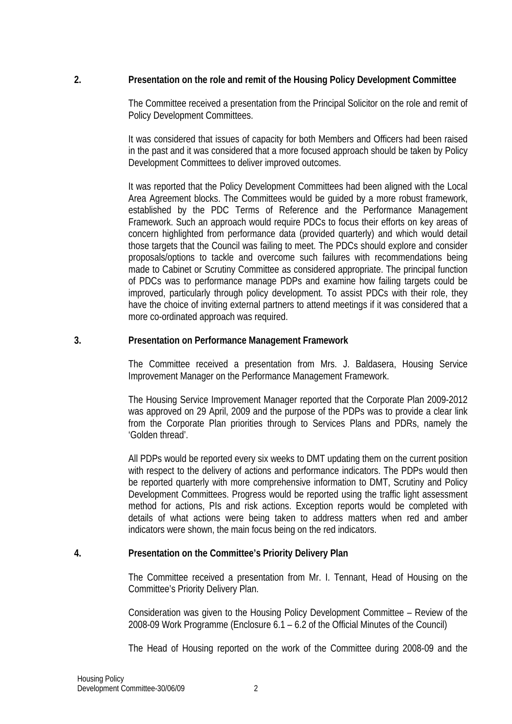## **2. Presentation on the role and remit of the Housing Policy Development Committee**

The Committee received a presentation from the Principal Solicitor on the role and remit of Policy Development Committees.

It was considered that issues of capacity for both Members and Officers had been raised in the past and it was considered that a more focused approach should be taken by Policy Development Committees to deliver improved outcomes.

It was reported that the Policy Development Committees had been aligned with the Local Area Agreement blocks. The Committees would be guided by a more robust framework, established by the PDC Terms of Reference and the Performance Management Framework. Such an approach would require PDCs to focus their efforts on key areas of concern highlighted from performance data (provided quarterly) and which would detail those targets that the Council was failing to meet. The PDCs should explore and consider proposals/options to tackle and overcome such failures with recommendations being made to Cabinet or Scrutiny Committee as considered appropriate. The principal function of PDCs was to performance manage PDPs and examine how failing targets could be improved, particularly through policy development. To assist PDCs with their role, they have the choice of inviting external partners to attend meetings if it was considered that a more co-ordinated approach was required.

#### **3. Presentation on Performance Management Framework**

The Committee received a presentation from Mrs. J. Baldasera, Housing Service Improvement Manager on the Performance Management Framework.

The Housing Service Improvement Manager reported that the Corporate Plan 2009-2012 was approved on 29 April, 2009 and the purpose of the PDPs was to provide a clear link from the Corporate Plan priorities through to Services Plans and PDRs, namely the 'Golden thread'.

All PDPs would be reported every six weeks to DMT updating them on the current position with respect to the delivery of actions and performance indicators. The PDPs would then be reported quarterly with more comprehensive information to DMT, Scrutiny and Policy Development Committees. Progress would be reported using the traffic light assessment method for actions, PIs and risk actions. Exception reports would be completed with details of what actions were being taken to address matters when red and amber indicators were shown, the main focus being on the red indicators.

#### **4. Presentation on the Committee's Priority Delivery Plan**

The Committee received a presentation from Mr. I. Tennant, Head of Housing on the Committee's Priority Delivery Plan.

Consideration was given to the Housing Policy Development Committee – Review of the 2008-09 Work Programme (Enclosure 6.1 – 6.2 of the Official Minutes of the Council)

The Head of Housing reported on the work of the Committee during 2008-09 and the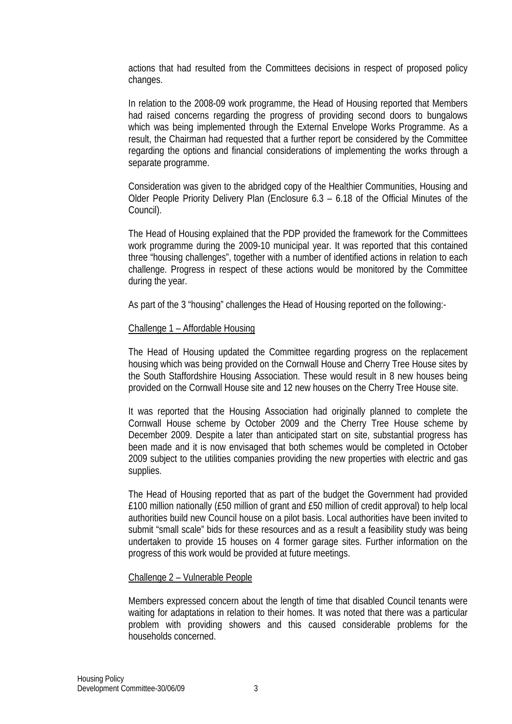actions that had resulted from the Committees decisions in respect of proposed policy changes.

In relation to the 2008-09 work programme, the Head of Housing reported that Members had raised concerns regarding the progress of providing second doors to bungalows which was being implemented through the External Envelope Works Programme. As a result, the Chairman had requested that a further report be considered by the Committee regarding the options and financial considerations of implementing the works through a separate programme.

Consideration was given to the abridged copy of the Healthier Communities, Housing and Older People Priority Delivery Plan (Enclosure 6.3 – 6.18 of the Official Minutes of the Council).

The Head of Housing explained that the PDP provided the framework for the Committees work programme during the 2009-10 municipal year. It was reported that this contained three "housing challenges", together with a number of identified actions in relation to each challenge. Progress in respect of these actions would be monitored by the Committee during the year.

As part of the 3 "housing" challenges the Head of Housing reported on the following:-

## Challenge 1 – Affordable Housing

The Head of Housing updated the Committee regarding progress on the replacement housing which was being provided on the Cornwall House and Cherry Tree House sites by the South Staffordshire Housing Association. These would result in 8 new houses being provided on the Cornwall House site and 12 new houses on the Cherry Tree House site.

It was reported that the Housing Association had originally planned to complete the Cornwall House scheme by October 2009 and the Cherry Tree House scheme by December 2009. Despite a later than anticipated start on site, substantial progress has been made and it is now envisaged that both schemes would be completed in October 2009 subject to the utilities companies providing the new properties with electric and gas supplies.

The Head of Housing reported that as part of the budget the Government had provided £100 million nationally (£50 million of grant and £50 million of credit approval) to help local authorities build new Council house on a pilot basis. Local authorities have been invited to submit "small scale" bids for these resources and as a result a feasibility study was being undertaken to provide 15 houses on 4 former garage sites. Further information on the progress of this work would be provided at future meetings.

#### Challenge 2 – Vulnerable People

Members expressed concern about the length of time that disabled Council tenants were waiting for adaptations in relation to their homes. It was noted that there was a particular problem with providing showers and this caused considerable problems for the households concerned.